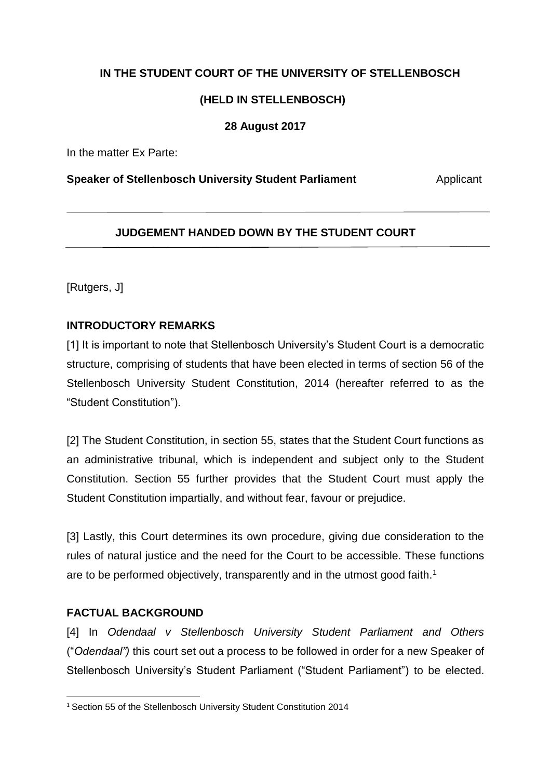# **IN THE STUDENT COURT OF THE UNIVERSITY OF STELLENBOSCH**

# **(HELD IN STELLENBOSCH)**

# **28 August 2017**

In the matter Ex Parte:

#### **Speaker of Stellenbosch University Student Parliament Manual Applicant**

## **JUDGEMENT HANDED DOWN BY THE STUDENT COURT**

[Rutgers, J]

# **INTRODUCTORY REMARKS**

[1] It is important to note that Stellenbosch University's Student Court is a democratic structure, comprising of students that have been elected in terms of section 56 of the Stellenbosch University Student Constitution, 2014 (hereafter referred to as the "Student Constitution").

[2] The Student Constitution, in section 55, states that the Student Court functions as an administrative tribunal, which is independent and subject only to the Student Constitution. Section 55 further provides that the Student Court must apply the Student Constitution impartially, and without fear, favour or prejudice.

[3] Lastly, this Court determines its own procedure, giving due consideration to the rules of natural justice and the need for the Court to be accessible. These functions are to be performed objectively, transparently and in the utmost good faith.<sup>1</sup>

# **FACTUAL BACKGROUND**

**.** 

[4] In *Odendaal v Stellenbosch University Student Parliament and Others*  ("*Odendaal")* this court set out a process to be followed in order for a new Speaker of Stellenbosch University's Student Parliament ("Student Parliament") to be elected.

<sup>&</sup>lt;sup>1</sup> Section 55 of the Stellenbosch University Student Constitution 2014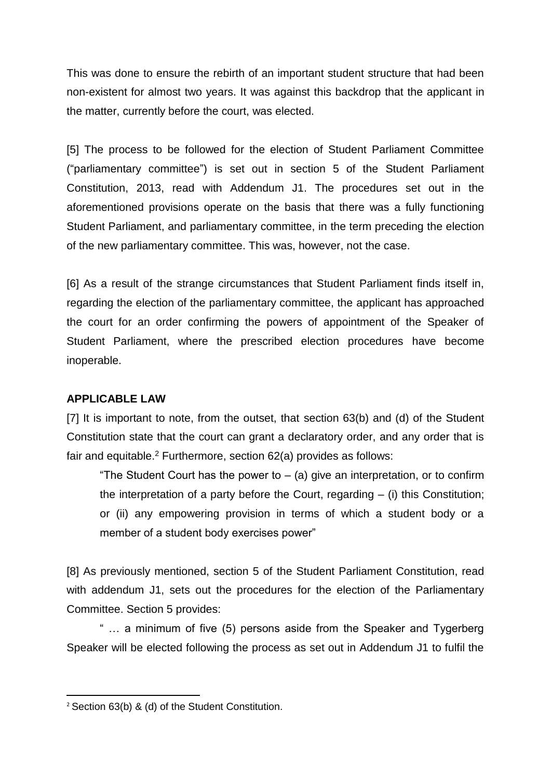This was done to ensure the rebirth of an important student structure that had been non-existent for almost two years. It was against this backdrop that the applicant in the matter, currently before the court, was elected.

[5] The process to be followed for the election of Student Parliament Committee ("parliamentary committee") is set out in section 5 of the Student Parliament Constitution, 2013, read with Addendum J1. The procedures set out in the aforementioned provisions operate on the basis that there was a fully functioning Student Parliament, and parliamentary committee, in the term preceding the election of the new parliamentary committee. This was, however, not the case.

[6] As a result of the strange circumstances that Student Parliament finds itself in, regarding the election of the parliamentary committee, the applicant has approached the court for an order confirming the powers of appointment of the Speaker of Student Parliament, where the prescribed election procedures have become inoperable.

## **APPLICABLE LAW**

[7] It is important to note, from the outset, that section 63(b) and (d) of the Student Constitution state that the court can grant a declaratory order, and any order that is fair and equitable.<sup>2</sup> Furthermore, section 62(a) provides as follows:

"The Student Court has the power to  $-$  (a) give an interpretation, or to confirm the interpretation of a party before the Court, regarding  $-$  (i) this Constitution; or (ii) any empowering provision in terms of which a student body or a member of a student body exercises power"

[8] As previously mentioned, section 5 of the Student Parliament Constitution, read with addendum J1, sets out the procedures for the election of the Parliamentary Committee. Section 5 provides:

" … a minimum of five (5) persons aside from the Speaker and Tygerberg Speaker will be elected following the process as set out in Addendum J1 to fulfil the

**<sup>.</sup>** <sup>2</sup> Section 63(b) & (d) of the Student Constitution.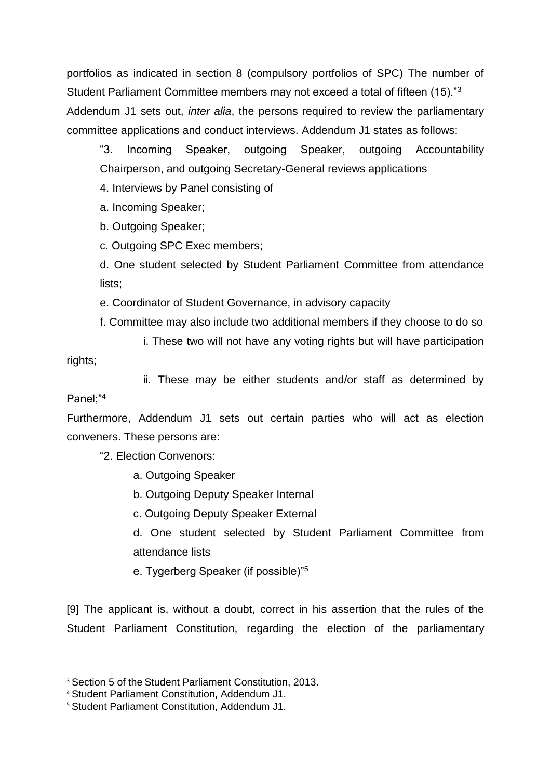portfolios as indicated in section 8 (compulsory portfolios of SPC) The number of Student Parliament Committee members may not exceed a total of fifteen (15)."<sup>3</sup> Addendum J1 sets out, *inter alia*, the persons required to review the parliamentary committee applications and conduct interviews. Addendum J1 states as follows:

"3. Incoming Speaker, outgoing Speaker, outgoing Accountability Chairperson, and outgoing Secretary-General reviews applications

4. Interviews by Panel consisting of

a. Incoming Speaker;

b. Outgoing Speaker;

c. Outgoing SPC Exec members;

d. One student selected by Student Parliament Committee from attendance lists;

e. Coordinator of Student Governance, in advisory capacity

f. Committee may also include two additional members if they choose to do so

 i. These two will not have any voting rights but will have participation rights;

 ii. These may be either students and/or staff as determined by Panel;"<sup>4</sup>

Furthermore, Addendum J1 sets out certain parties who will act as election conveners. These persons are:

"2. Election Convenors:

a. Outgoing Speaker

b. Outgoing Deputy Speaker Internal

c. Outgoing Deputy Speaker External

d. One student selected by Student Parliament Committee from attendance lists

e. Tygerberg Speaker (if possible)"<sup>5</sup>

[9] The applicant is, without a doubt, correct in his assertion that the rules of the Student Parliament Constitution, regarding the election of the parliamentary

**.** 

<sup>&</sup>lt;sup>3</sup> Section 5 of the Student Parliament Constitution, 2013.

<sup>4</sup> Student Parliament Constitution, Addendum J1.

<sup>5</sup> Student Parliament Constitution, Addendum J1.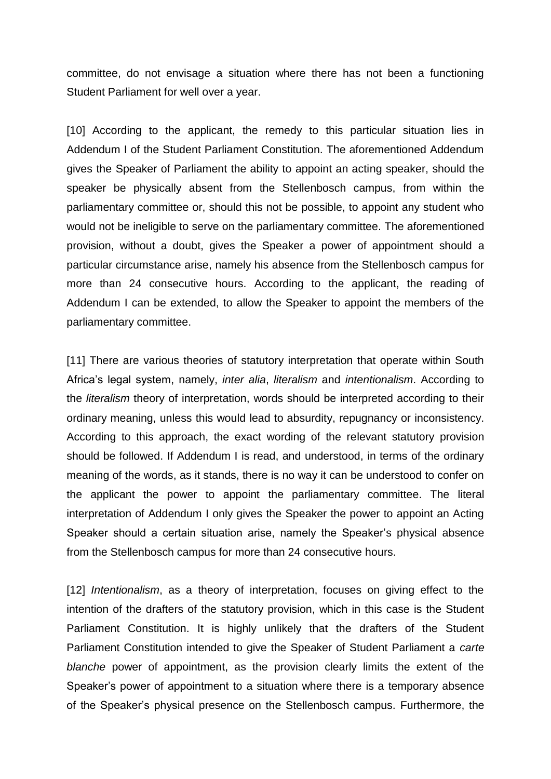committee, do not envisage a situation where there has not been a functioning Student Parliament for well over a year.

[10] According to the applicant, the remedy to this particular situation lies in Addendum I of the Student Parliament Constitution. The aforementioned Addendum gives the Speaker of Parliament the ability to appoint an acting speaker, should the speaker be physically absent from the Stellenbosch campus, from within the parliamentary committee or, should this not be possible, to appoint any student who would not be ineligible to serve on the parliamentary committee. The aforementioned provision, without a doubt, gives the Speaker a power of appointment should a particular circumstance arise, namely his absence from the Stellenbosch campus for more than 24 consecutive hours. According to the applicant, the reading of Addendum I can be extended, to allow the Speaker to appoint the members of the parliamentary committee.

[11] There are various theories of statutory interpretation that operate within South Africa's legal system, namely, *inter alia*, *literalism* and *intentionalism*. According to the *literalism* theory of interpretation, words should be interpreted according to their ordinary meaning, unless this would lead to absurdity, repugnancy or inconsistency. According to this approach, the exact wording of the relevant statutory provision should be followed. If Addendum I is read, and understood, in terms of the ordinary meaning of the words, as it stands, there is no way it can be understood to confer on the applicant the power to appoint the parliamentary committee. The literal interpretation of Addendum I only gives the Speaker the power to appoint an Acting Speaker should a certain situation arise, namely the Speaker's physical absence from the Stellenbosch campus for more than 24 consecutive hours.

[12] *Intentionalism*, as a theory of interpretation, focuses on giving effect to the intention of the drafters of the statutory provision, which in this case is the Student Parliament Constitution. It is highly unlikely that the drafters of the Student Parliament Constitution intended to give the Speaker of Student Parliament a *carte blanche* power of appointment, as the provision clearly limits the extent of the Speaker's power of appointment to a situation where there is a temporary absence of the Speaker's physical presence on the Stellenbosch campus. Furthermore, the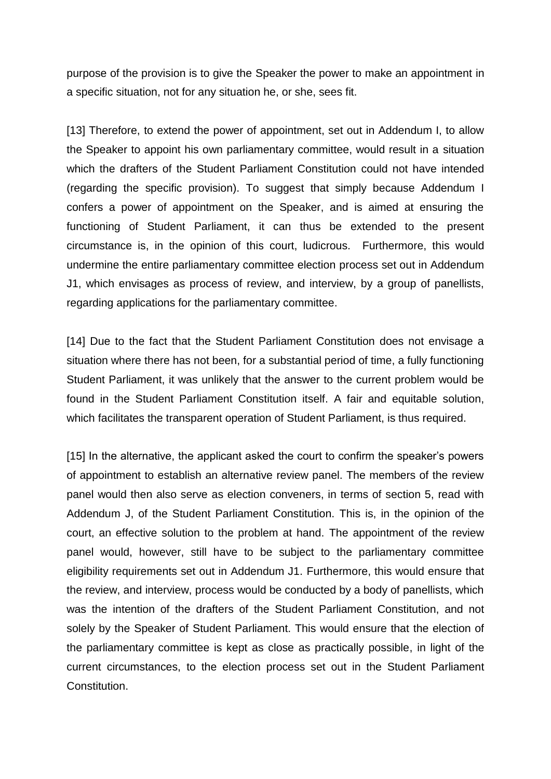purpose of the provision is to give the Speaker the power to make an appointment in a specific situation, not for any situation he, or she, sees fit.

[13] Therefore, to extend the power of appointment, set out in Addendum I, to allow the Speaker to appoint his own parliamentary committee, would result in a situation which the drafters of the Student Parliament Constitution could not have intended (regarding the specific provision). To suggest that simply because Addendum I confers a power of appointment on the Speaker, and is aimed at ensuring the functioning of Student Parliament, it can thus be extended to the present circumstance is, in the opinion of this court, ludicrous. Furthermore, this would undermine the entire parliamentary committee election process set out in Addendum J1, which envisages as process of review, and interview, by a group of panellists, regarding applications for the parliamentary committee.

[14] Due to the fact that the Student Parliament Constitution does not envisage a situation where there has not been, for a substantial period of time, a fully functioning Student Parliament, it was unlikely that the answer to the current problem would be found in the Student Parliament Constitution itself. A fair and equitable solution, which facilitates the transparent operation of Student Parliament, is thus required.

[15] In the alternative, the applicant asked the court to confirm the speaker's powers of appointment to establish an alternative review panel. The members of the review panel would then also serve as election conveners, in terms of section 5, read with Addendum J, of the Student Parliament Constitution. This is, in the opinion of the court, an effective solution to the problem at hand. The appointment of the review panel would, however, still have to be subject to the parliamentary committee eligibility requirements set out in Addendum J1. Furthermore, this would ensure that the review, and interview, process would be conducted by a body of panellists, which was the intention of the drafters of the Student Parliament Constitution, and not solely by the Speaker of Student Parliament. This would ensure that the election of the parliamentary committee is kept as close as practically possible, in light of the current circumstances, to the election process set out in the Student Parliament Constitution.